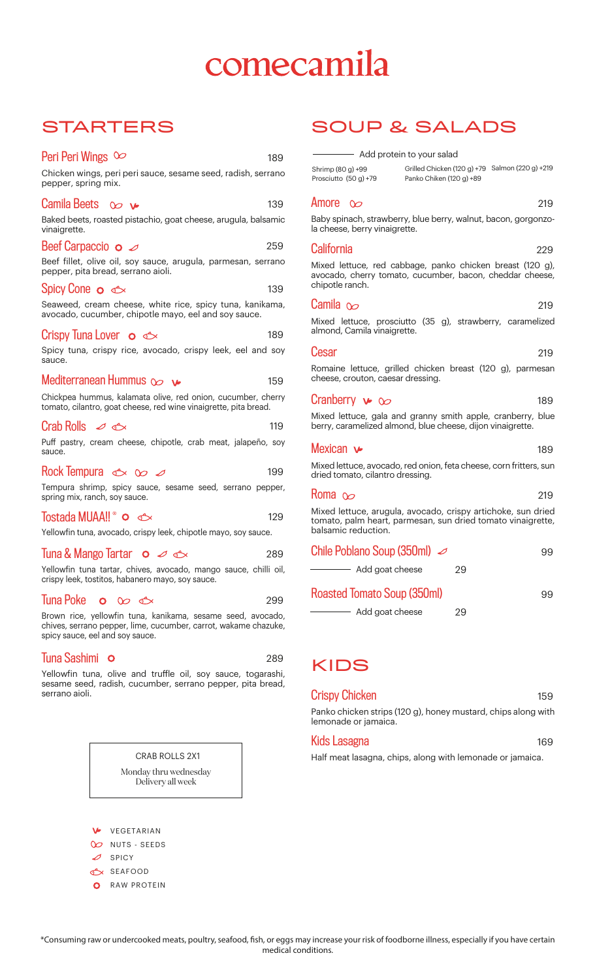# comecamila

### **STARTERS**

| Peri Peri Wings $\infty$<br>189                                                                                                                                   |
|-------------------------------------------------------------------------------------------------------------------------------------------------------------------|
| Chicken wings, peri peri sauce, sesame seed, radish, serrano<br>pepper, spring mix.                                                                               |
| Camila Beets $\infty$<br>139                                                                                                                                      |
| Baked beets, roasted pistachio, goat cheese, arugula, balsamic<br>vinaigrette.                                                                                    |
| Beef Carpaccio $\circ$<br>259                                                                                                                                     |
| Beef fillet, olive oil, soy sauce, arugula, parmesan, serrano<br>pepper, pita bread, serrano aioli.                                                               |
| Spicy Cone $\circ \circ$<br>139                                                                                                                                   |
| Seaweed, cream cheese, white rice, spicy tuna, kanikama,<br>avocado, cucumber, chipotle mayo, eel and soy sauce.                                                  |
| Crispy Tuna Lover o $\text{C}$<br>189                                                                                                                             |
| Spicy tuna, crispy rice, avocado, crispy leek, eel and soy<br>sauce.                                                                                              |
| Mediterranean Hummus $\infty$<br>159                                                                                                                              |
| Chickpea hummus, kalamata olive, red onion, cucumber, cherry<br>tomato, cilantro, goat cheese, red wine vinaigrette, pita bread.                                  |
| Crab Rolls $\varnothing$<br>119                                                                                                                                   |
| Puff pastry, cream cheese, chipotle, crab meat, jalapeño, soy<br>sauce.                                                                                           |
| Rock Tempura $\iff$ $\infty$ $\varnothing$<br>199                                                                                                                 |
| Tempura shrimp, spicy sauce, sesame seed, serrano pepper,<br>spring mix, ranch, soy sauce.                                                                        |
| <b>Tostada MUAA!!</b> © <del>△</del><br>129                                                                                                                       |
| Yellowfin tuna, avocado, crispy leek, chipotle mayo, soy sauce.                                                                                                   |
| <b>Tuna &amp; Mango Tartar</b> $\circ$ $\circ$ $\circ$<br>289                                                                                                     |
| Yellowfin tuna tartar, chives, avocado, mango sauce, chilli oil,<br>crispy leek, tostitos, habanero mayo, soy sauce.                                              |
| Tuna Poke $\circ \circ \circ$<br>299.                                                                                                                             |
| Brown rice, yellowfin tuna, kanikama, sesame seed, avocado,<br>chives, serrano pepper, lime, cucumber, carrot, wakame chazuke,<br>spicy sauce, eel and soy sauce. |
| Tuna Sashimi<br>Ο<br>289                                                                                                                                          |
|                                                                                                                                                                   |

e and truffle oil, soy sauce, toga sesame seed, radish, cucumber, serrano pepper, pita bread, serrano aioli.

> CRAB ROLLS 2X1 Monday thru wednesday Delivery all week

- Add protein to your salad Shrimp (80 g) +99

Prosciutto (50 g) +79 Grilled Chicken (120 g) +79 Salmon (220 g) +219 Panko Chiken (120 g) +89

SOUP & SALADS

#### Amore  $\infty$

219

229

219

219

189

169

Baby spinach, strawberry, blue berry, walnut, bacon, gorgonzola cheese, berry vinaigrette.

#### **California**

Mixed lettuce, red cabbage, panko chicken breast (120 g), avocado, cherry tomato, cucumber, bacon, cheddar cheese, chipotle ranch.

#### Camila  $\infty$

Mixed lettuce, prosciutto (35 g), strawberry, caramelized almond, Camila vinaigrette.

#### Cesar

Romaine lettuce, grilled chicken breast (120 g), parmesan cheese, crouton, caesar dressing.

#### Cranberry  $\triangleright \infty$ 189

Mixed lettuce, gala and granny smith apple, cranberry, blue berry, caramelized almond, blue cheese, dijon vinaigrette.

#### Mexican v

Mixed lettuce, avocado, red onion, feta cheese, corn fritters, sun dried tomato, cilantro dressing.

#### Roma  $\infty$ 219

Mixed lettuce, arugula, avocado, crispy artichoke, sun dried tomato, palm heart, parmesan, sun dried tomato vinaigrette, balsamic reduction.

| Chile Poblano Soup (350ml) $\varnothing$ |    | 99 |
|------------------------------------------|----|----|
| Add goat cheese                          | 29 |    |
| Roasted Tomato Soup (350ml)              |    | 99 |
| Add goat cheese                          | 29 |    |

### KIDS

#### Crispy Chicken Panko chicken strips (120 g), honey mustard, chips along with 159

lemonade or jamaica.

#### Kids Lasagna

Half meat lasagna, chips, along with lemonade or jamaica.

VEGETARIAN O NUTS - SEEDS  $\mathcal O$  SPICY SEAFOOD

**O** RAW PROTEIN

\*Consuming raw or undercooked meats, poultry, seafood, sh, or eggs may increase your risk of foodborne illness, especially if you have certain medical conditions.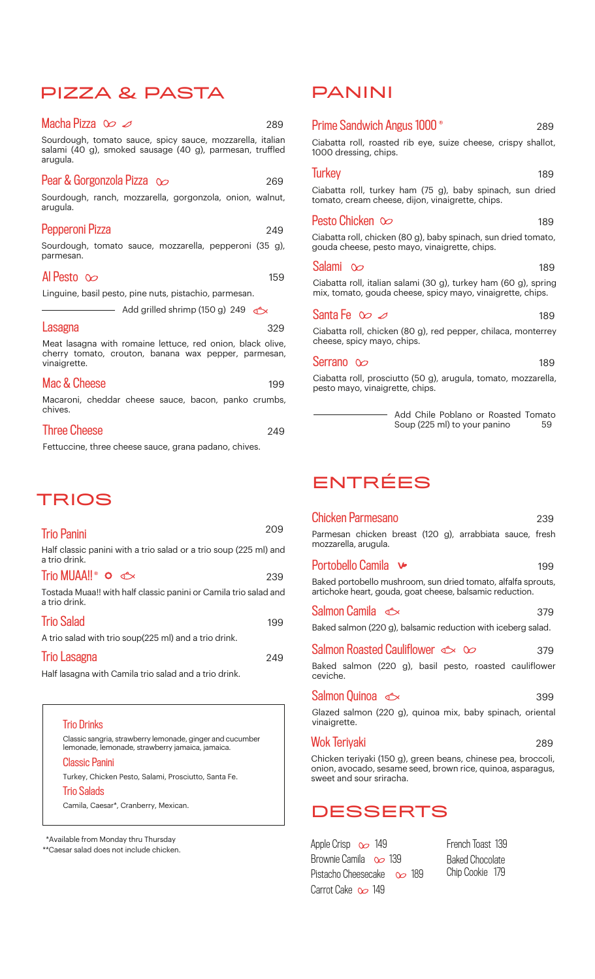### PIZZA & PASTA

| Macha Pizza $\infty$                                                                                                              | 289 |
|-----------------------------------------------------------------------------------------------------------------------------------|-----|
| Sourdough, tomato sauce, spicy sauce, mozzarella, italian<br>salami (40 g), smoked sausage (40 g), parmesan, truffled<br>arugula. |     |
| Pear & Gorgonzola Pizza $\infty$<br>Sourdough, ranch, mozzarella, gorgonzola, onion, walnut,<br>arugula.                          | 269 |
| Pepperoni Pizza<br>Sourdough, tomato sauce, mozzarella, pepperoni (35 g),<br>parmesan.                                            | 249 |
| Al Pesto $\infty$                                                                                                                 | 159 |

Linguine, basil pesto, pine nuts, pistachio, parmesan.

 $\overline{\phantom{a}}$  Add grilled shrimp (150 g) 249

#### **Lasagna**

329

Meat lasagna with romaine lettuce, red onion, black olive, cherry tomato, crouton, banana wax pepper, parmesan, vinaigrette.

| Mac & Cheese                                                    |  |  | 199 |
|-----------------------------------------------------------------|--|--|-----|
| Macaroni, cheddar cheese sauce, bacon, panko crumbs,<br>chives. |  |  |     |

| <b>Three Cheese</b> | 249 |
|---------------------|-----|
|                     |     |

Fettuccine, three cheese sauce, grana padano, chives.

### TRIOS

| <b>Trio Panini</b>                                                                 | 209 |
|------------------------------------------------------------------------------------|-----|
| Half classic panini with a trio salad or a trio soup (225 ml) and<br>a trio drink. |     |
| Trio MUAA!! $\circ \circ \circ$                                                    | 239 |
| Tostada Muaa!! with half classic panini or Camila trio salad and<br>a trio drink.  |     |
| <b>Trio Salad</b>                                                                  | 199 |
| A trio salad with trio soup(225 ml) and a trio drink.                              |     |
| <b>Trio Lasagna</b>                                                                | 249 |
| Half lasagna with Camila trio salad and a trio drink.                              |     |



\*Available from Monday thru Thursday

\*\*Caesar salad does not include chicken.

### PANINI

| <b>Prime Sandwich Angus 1000 <sup>®</sup></b><br>289                                                                          |
|-------------------------------------------------------------------------------------------------------------------------------|
| Ciabatta roll, roasted rib eye, suize cheese, crispy shallot,<br>1000 dressing, chips.                                        |
| <b>Turkey</b><br>189                                                                                                          |
| Ciabatta roll, turkey ham (75 g), baby spinach, sun dried<br>tomato, cream cheese, dijon, vinaigrette, chips.                 |
| Pesto Chicken $\infty$<br>189                                                                                                 |
| Ciabatta roll, chicken (80 g), baby spinach, sun dried tomato,<br>gouda cheese, pesto mayo, vinaigrette, chips.               |
| Salami $\infty$<br>189                                                                                                        |
| Ciabatta roll, italian salami (30 g), turkey ham (60 g), spring<br>mix, tomato, gouda cheese, spicy mayo, vinaigrette, chips. |
| Santa Fe $\infty$ $\varnothing$<br>189                                                                                        |
| Ciabatta roll, chicken (80 g), red pepper, chilaca, monterrey<br>cheese, spicy mayo, chips.                                   |
| Serrano $\infty$<br>189                                                                                                       |
| Ciabatta roll, prosciutto (50 g), arugula, tomato, mozzarella,<br>pesto mayo, vinaigrette, chips.                             |

Add Chile Poblano or Roasted Tomato<br>Soup (225 ml) to your panino 59 Soup (225 ml) to your panino

## ENTRÉES

| <b>Chicken Parmesano</b>                                                                                                                                 | 239 |
|----------------------------------------------------------------------------------------------------------------------------------------------------------|-----|
| Parmesan chicken breast (120 g), arrabbiata sauce, fresh<br>mozzarella, arugula.                                                                         |     |
| Portobello Camila <del>V</del>                                                                                                                           | 199 |
| Baked portobello mushroom, sun dried tomato, alfalfa sprouts,<br>artichoke heart, gouda, goat cheese, balsamic reduction.                                |     |
| Salmon Camila <del>©</del>                                                                                                                               | 379 |
| Baked salmon (220 g), balsamic reduction with iceberg salad.                                                                                             |     |
| Salmon Roasted Cauliflower $\iff \infty$                                                                                                                 | 379 |
| Baked salmon (220 g), basil pesto, roasted cauliflower<br>ceviche.                                                                                       |     |
| Salmon Quinoa $\iff$                                                                                                                                     | 399 |
| Glazed salmon (220 g), quinoa mix, baby spinach, oriental<br>vinaigrette.                                                                                |     |
| Wok Teriyaki                                                                                                                                             | 289 |
| Chicken teriyaki (150 g), green beans, chinese pea, broccoli,<br>onion, avocado, sesame seed, brown rice, quinoa, asparagus,<br>sweet and sour sriracha. |     |

### DESSERTS

Pistacho Cheesecake 0 189 Apple Crisp  $\infty$  149 Brownie Camila 00 139 Carrot Cake  $\infty$  149

French Toast 139 Baked Chocolate Chip Cookie 179